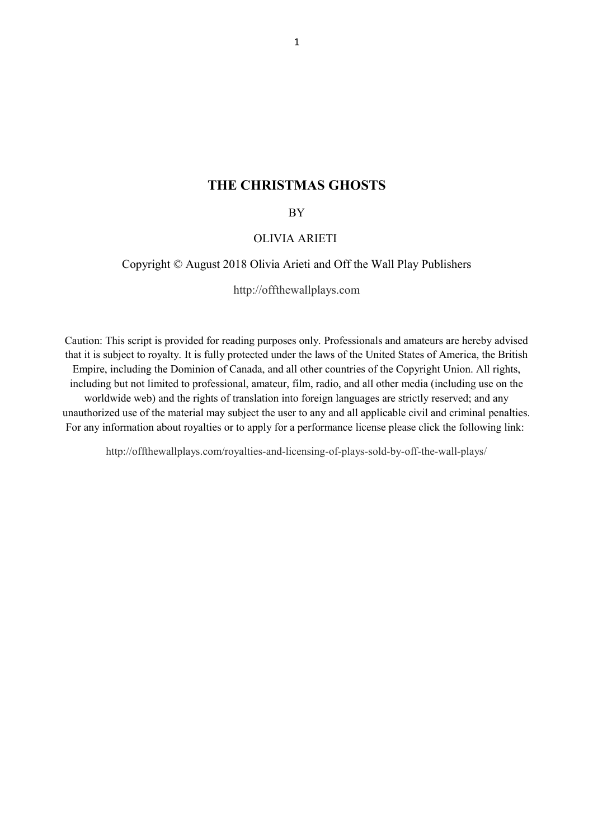## **THE CHRISTMAS GHOSTS**

BY

### OLIVIA ARIETI

#### Copyright © August 2018 Olivia Arieti and Off the Wall Play Publishers

[http://offthewallplays.com](http://offthewallplays.com/)

Caution: This script is provided for reading purposes only. Professionals and amateurs are hereby advised that it is subject to royalty. It is fully protected under the laws of the United States of America, the British Empire, including the Dominion of Canada, and all other countries of the Copyright Union. All rights, including but not limited to professional, amateur, film, radio, and all other media (including use on the worldwide web) and the rights of translation into foreign languages are strictly reserved; and any unauthorized use of the material may subject the user to any and all applicable civil and criminal penalties. For any information about royalties or to apply for a performance license please click the following link:

<http://offthewallplays.com/royalties-and-licensing-of-plays-sold-by-off-the-wall-plays/>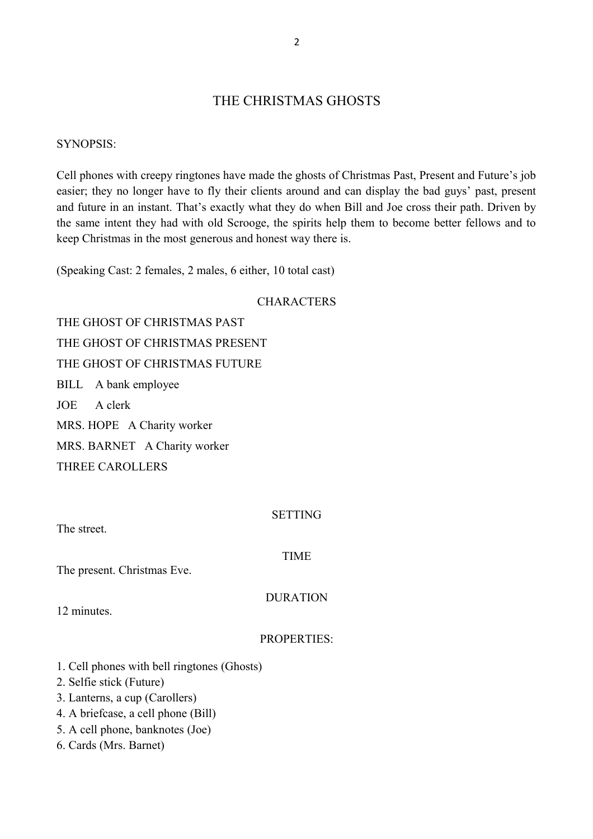# THE CHRISTMAS GHOSTS

### SYNOPSIS:

Cell phones with creepy ringtones have made the ghosts of Christmas Past, Present and Future's job easier; they no longer have to fly their clients around and can display the bad guys' past, present and future in an instant. That's exactly what they do when Bill and Joe cross their path. Driven by the same intent they had with old Scrooge, the spirits help them to become better fellows and to keep Christmas in the most generous and honest way there is.

(Speaking Cast: 2 females, 2 males, 6 either, 10 total cast)

### **CHARACTERS**

THE GHOST OF CHRISTMAS PAST THE GHOST OF CHRISTMAS PRESENT THE GHOST OF CHRISTMAS FUTURE BILL A bank employee JOE A clerk MRS. HOPE A Charity worker MRS. BARNET A Charity worker THREE CAROLLERS

The street.

SETTING

TIME

The present. Christmas Eve.

DURATION

12 minutes.

### PROPERTIES:

1. Cell phones with bell ringtones (Ghosts)

2. Selfie stick (Future)

- 3. Lanterns, a cup (Carollers)
- 4. A briefcase, a cell phone (Bill)
- 5. A cell phone, banknotes (Joe)
- 6. Cards (Mrs. Barnet)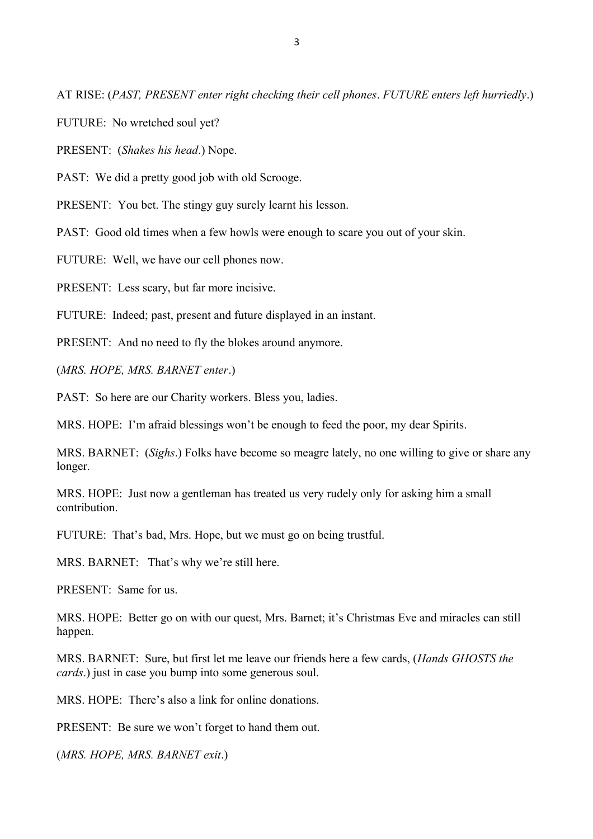AT RISE: (*PAST, PRESENT enter right checking their cell phones*. *FUTURE enters left hurriedly*.)

FUTURE:No wretched soul yet?

PRESENT: (*Shakes his head*.) Nope.

PAST: We did a pretty good job with old Scrooge.

PRESENT: You bet. The stingy guy surely learnt his lesson.

PAST: Good old times when a few howls were enough to scare you out of your skin.

FUTURE: Well, we have our cell phones now.

PRESENT: Less scary, but far more incisive.

FUTURE: Indeed; past, present and future displayed in an instant.

PRESENT: And no need to fly the blokes around anymore.

(*MRS. HOPE, MRS. BARNET enter*.)

PAST: So here are our Charity workers. Bless you, ladies.

MRS. HOPE: I'm afraid blessings won't be enough to feed the poor, my dear Spirits.

MRS. BARNET: (*Sighs*.) Folks have become so meagre lately, no one willing to give or share any longer.

MRS. HOPE: Just now a gentleman has treated us very rudely only for asking him a small contribution.

FUTURE: That's bad, Mrs. Hope, but we must go on being trustful.

MRS. BARNET: That's why we're still here.

PRESENT: Same for us.

MRS. HOPE: Better go on with our quest, Mrs. Barnet; it's Christmas Eve and miracles can still happen.

MRS. BARNET: Sure, but first let me leave our friends here a few cards, (*Hands GHOSTS the cards*.) just in case you bump into some generous soul.

MRS. HOPE:There's also a link for online donations.

PRESENT: Be sure we won't forget to hand them out.

(*MRS. HOPE, MRS. BARNET exit*.)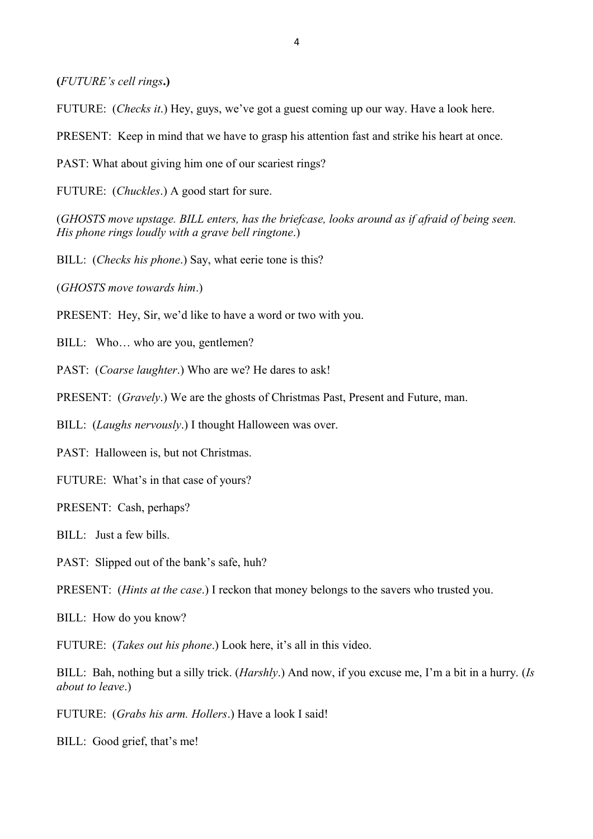**(***FUTURE's cell rings***.)**

FUTURE: (*Checks it*.) Hey, guys, we've got a guest coming up our way. Have a look here.

PRESENT: Keep in mind that we have to grasp his attention fast and strike his heart at once.

PAST: What about giving him one of our scariest rings?

FUTURE: (*Chuckles*.) A good start for sure.

(*GHOSTS move upstage. BILL enters, has the briefcase, looks around as if afraid of being seen. His phone rings loudly with a grave bell ringtone*.)

BILL: (*Checks his phone*.) Say, what eerie tone is this?

(*GHOSTS move towards him*.)

PRESENT: Hey, Sir, we'd like to have a word or two with you.

BILL: Who... who are you, gentlemen?

PAST: (*Coarse laughter*.) Who are we? He dares to ask!

PRESENT: (*Gravely*.) We are the ghosts of Christmas Past, Present and Future, man.

BILL: (*Laughs nervously*.) I thought Halloween was over.

PAST: Halloween is, but not Christmas.

FUTURE: What's in that case of yours?

PRESENT: Cash, perhaps?

BILL: Just a few bills.

PAST: Slipped out of the bank's safe, huh?

PRESENT: (*Hints at the case*.) I reckon that money belongs to the savers who trusted you.

BILL: How do you know?

FUTURE: (*Takes out his phone*.) Look here, it's all in this video.

BILL: Bah, nothing but a silly trick. (*Harshly*.) And now, if you excuse me, I'm a bit in a hurry. (*Is about to leave*.)

FUTURE: (*Grabs his arm. Hollers*.) Have a look I said!

BILL: Good grief, that's me!